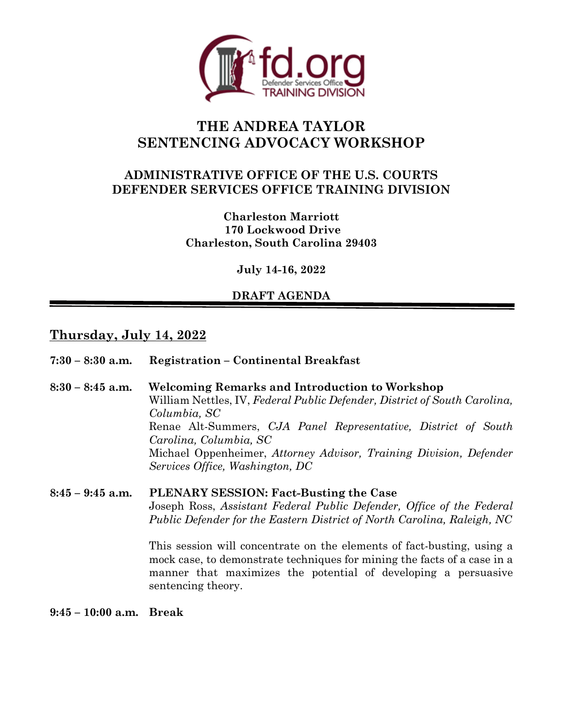

# **THE ANDREA TAYLOR SENTENCING ADVOCACY WORKSHOP**

# **ADMINISTRATIVE OFFICE OF THE U.S. COURTS DEFENDER SERVICES OFFICE TRAINING DIVISION**

**Charleston Marriott 170 Lockwood Drive Charleston, South Carolina 29403**

**July 14-16, 2022** 

# **DRAFT AGENDA**

# **Thursday, July 14, 2022**

| $7:30 - 8:30$ a.m. | <b>Registration – Continental Breakfast</b>                                                                                                                                                                                                                                                                                                                                                                                                     |
|--------------------|-------------------------------------------------------------------------------------------------------------------------------------------------------------------------------------------------------------------------------------------------------------------------------------------------------------------------------------------------------------------------------------------------------------------------------------------------|
| $8:30 - 8:45$ a.m. | <b>Welcoming Remarks and Introduction to Workshop</b><br>William Nettles, IV, Federal Public Defender, District of South Carolina,<br>Columbia, SC<br>Renae Alt-Summers, CJA Panel Representative, District of South<br>Carolina, Columbia, SC<br>Michael Oppenheimer, Attorney Advisor, Training Division, Defender<br>Services Office, Washington, DC                                                                                         |
| $8:45 - 9:45$ a.m. | <b>PLENARY SESSION: Fact-Busting the Case</b><br>Joseph Ross, Assistant Federal Public Defender, Office of the Federal<br>Public Defender for the Eastern District of North Carolina, Raleigh, NC<br>This session will concentrate on the elements of fact-busting, using a<br>mock case, to demonstrate techniques for mining the facts of a case in a<br>manner that maximizes the potential of developing a persuasive<br>sentencing theory. |

**9:45 – 10:00 a.m. Break**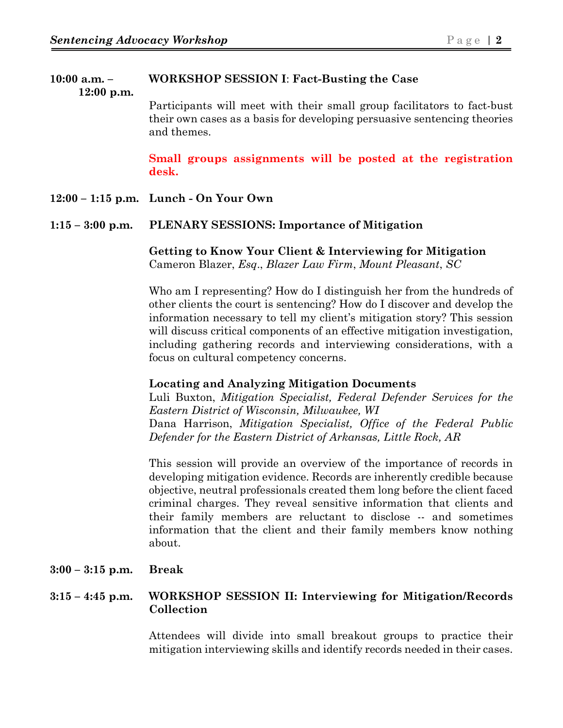# **10:00 a.m. – WORKSHOP SESSION I**: **Fact-Busting the Case**

 **12:00 p.m.**

Participants will meet with their small group facilitators to fact-bust their own cases as a basis for developing persuasive sentencing theories and themes.

**Small groups assignments will be posted at the registration desk.** 

**12:00 – 1:15 p.m. Lunch - On Your Own**

#### **1:15 – 3:00 p.m. PLENARY SESSIONS: Importance of Mitigation**

**Getting to Know Your Client & Interviewing for Mitigation** Cameron Blazer, *Esq*., *Blazer Law Firm*, *Mount Pleasant*, *SC*

Who am I representing? How do I distinguish her from the hundreds of other clients the court is sentencing? How do I discover and develop the information necessary to tell my client's mitigation story? This session will discuss critical components of an effective mitigation investigation, including gathering records and interviewing considerations, with a focus on cultural competency concerns.

### **Locating and Analyzing Mitigation Documents**

Luli Buxton, *Mitigation Specialist, Federal Defender Services for the Eastern District of Wisconsin, Milwaukee, WI* Dana Harrison, *Mitigation Specialist, Office of the Federal Public Defender for the Eastern District of Arkansas, Little Rock, AR*

This session will provide an overview of the importance of records in developing mitigation evidence. Records are inherently credible because objective, neutral professionals created them long before the client faced criminal charges. They reveal sensitive information that clients and their family members are reluctant to disclose -- and sometimes information that the client and their family members know nothing about.

**3:00 – 3:15 p.m. Break**

### **3:15 – 4:45 p.m. WORKSHOP SESSION II: Interviewing for Mitigation/Records Collection**

Attendees will divide into small breakout groups to practice their mitigation interviewing skills and identify records needed in their cases.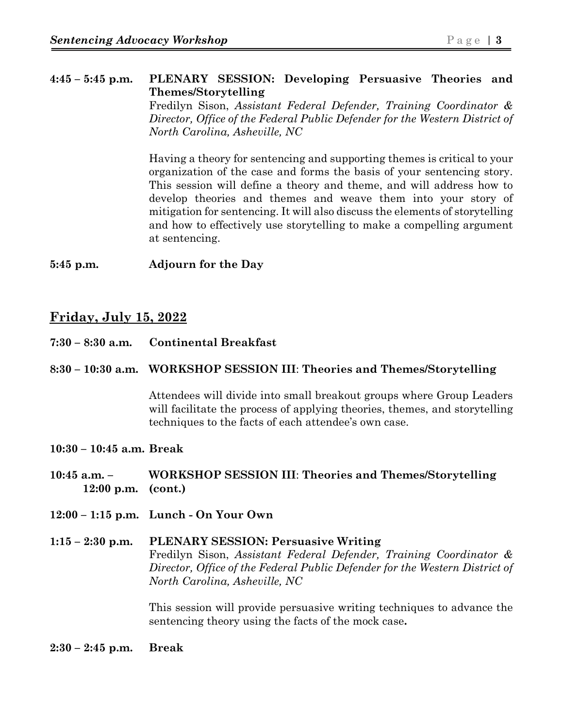### **4:45 – 5:45 p.m. PLENARY SESSION: Developing Persuasive Theories and Themes/Storytelling**

Fredilyn Sison, *Assistant Federal Defender, Training Coordinator & Director, Office of the Federal Public Defender for the Western District of North Carolina, Asheville, NC*

Having a theory for sentencing and supporting themes is critical to your organization of the case and forms the basis of your sentencing story. This session will define a theory and theme, and will address how to develop theories and themes and weave them into your story of mitigation for sentencing. It will also discuss the elements of storytelling and how to effectively use storytelling to make a compelling argument at sentencing.

**5:45 p.m. Adjourn for the Day**

# **Friday, July 15, 2022**

**7:30 – 8:30 a.m. Continental Breakfast**

### **8:30 – 10:30 a.m. WORKSHOP SESSION III**: **Theories and Themes/Storytelling**

Attendees will divide into small breakout groups where Group Leaders will facilitate the process of applying theories, themes, and storytelling techniques to the facts of each attendee's own case.

#### **10:30 – 10:45 a.m. Break**

- **10:45 a.m. WORKSHOP SESSION III**: **Theories and Themes/Storytelling 12:00 p.m. (cont.)**
- **12:00 1:15 p.m. Lunch On Your Own**
- **1:15 2:30 p.m. PLENARY SESSION: Persuasive Writing** Fredilyn Sison, *Assistant Federal Defender, Training Coordinator & Director, Office of the Federal Public Defender for the Western District of North Carolina, Asheville, NC*

This session will provide persuasive writing techniques to advance the sentencing theory using the facts of the mock case**.** 

**2:30 – 2:45 p.m. Break**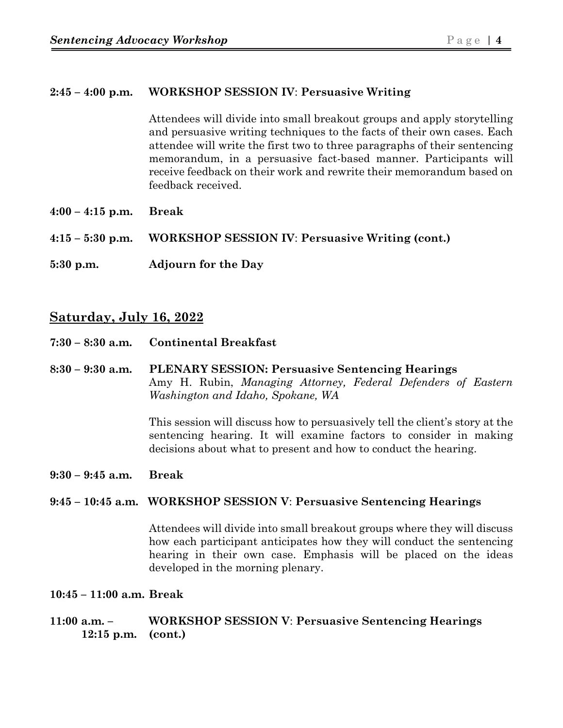#### **2:45 – 4:00 p.m. WORKSHOP SESSION IV**: **Persuasive Writing**

Attendees will divide into small breakout groups and apply storytelling and persuasive writing techniques to the facts of their own cases. Each attendee will write the first two to three paragraphs of their sentencing memorandum, in a persuasive fact-based manner. Participants will receive feedback on their work and rewrite their memorandum based on feedback received.

**4:00 – 4:15 p.m. Break**

**4:15 – 5:30 p.m. WORKSHOP SESSION IV**: **Persuasive Writing (cont.)** 

**5:30 p.m. Adjourn for the Day**

# **Saturday, July 16, 2022**

- **7:30 8:30 a.m. Continental Breakfast**
- **8:30 9:30 a.m. PLENARY SESSION: Persuasive Sentencing Hearings** Amy H. Rubin, *Managing Attorney, Federal Defenders of Eastern Washington and Idaho, Spokane, WA*

This session will discuss how to persuasively tell the client's story at the sentencing hearing. It will examine factors to consider in making decisions about what to present and how to conduct the hearing.

**9:30 – 9:45 a.m. Break**

#### **9:45 – 10:45 a.m. WORKSHOP SESSION V**: **Persuasive Sentencing Hearings**

Attendees will divide into small breakout groups where they will discuss how each participant anticipates how they will conduct the sentencing hearing in their own case. Emphasis will be placed on the ideas developed in the morning plenary.

- **10:45 11:00 a.m. Break**
- **11:00 a.m. WORKSHOP SESSION V**: **Persuasive Sentencing Hearings 12:15 p.m. (cont.)**